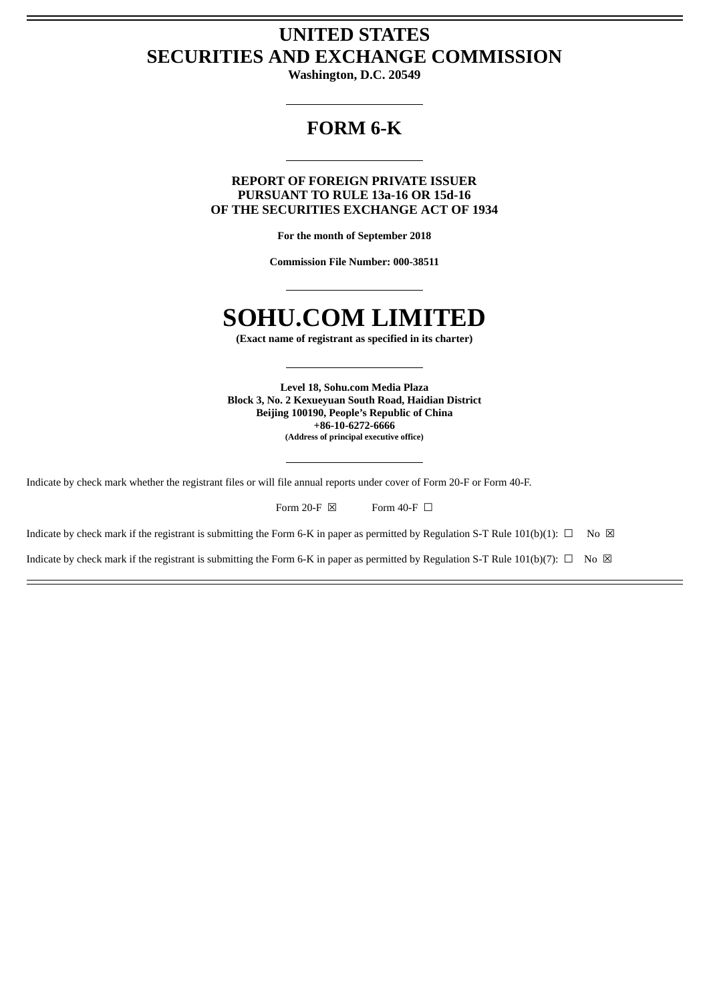## **UNITED STATES SECURITIES AND EXCHANGE COMMISSION**

**Washington, D.C. 20549**

## **FORM 6-K**

**REPORT OF FOREIGN PRIVATE ISSUER PURSUANT TO RULE 13a-16 OR 15d-16 OF THE SECURITIES EXCHANGE ACT OF 1934**

**For the month of September 2018**

**Commission File Number: 000-38511**

## **SOHU.COM LIMITED**

**(Exact name of registrant as specified in its charter)**

**Level 18, Sohu.com Media Plaza Block 3, No. 2 Kexueyuan South Road, Haidian District Beijing 100190, People's Republic of China +86-10-6272-6666 (Address of principal executive office)**

Indicate by check mark whether the registrant files or will file annual reports under cover of Form 20-F or Form 40-F.

| Form 20-F $\boxtimes$<br>Form 40-F $\Box$ |
|-------------------------------------------|
|-------------------------------------------|

Indicate by check mark if the registrant is submitting the Form 6-K in paper as permitted by Regulation S-T Rule 101(b)(1):  $\Box$  No  $\boxtimes$ 

Indicate by check mark if the registrant is submitting the Form 6-K in paper as permitted by Regulation S-T Rule 101(b)(7):  $\Box$  No  $\boxtimes$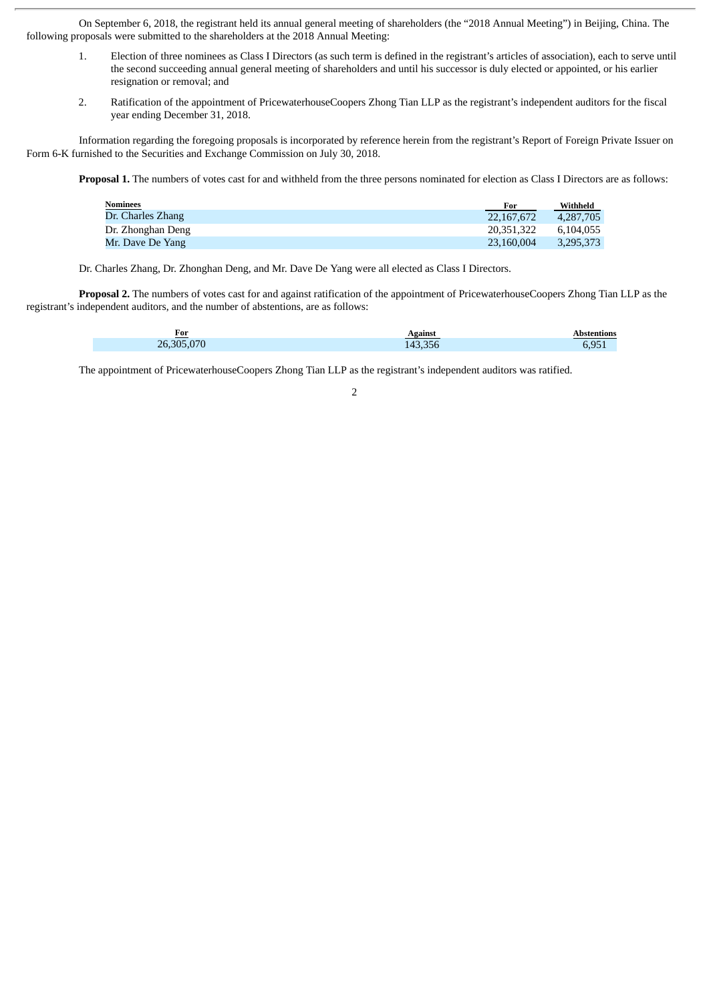On September 6, 2018, the registrant held its annual general meeting of shareholders (the "2018 Annual Meeting") in Beijing, China. The following proposals were submitted to the shareholders at the 2018 Annual Meeting:

- 1. Election of three nominees as Class I Directors (as such term is defined in the registrant's articles of association), each to serve until the second succeeding annual general meeting of shareholders and until his successor is duly elected or appointed, or his earlier resignation or removal; and
- 2. Ratification of the appointment of PricewaterhouseCoopers Zhong Tian LLP as the registrant's independent auditors for the fiscal year ending December 31, 2018.

Information regarding the foregoing proposals is incorporated by reference herein from the registrant's Report of Foreign Private Issuer on Form 6-K furnished to the Securities and Exchange Commission on July 30, 2018.

**Proposal 1.** The numbers of votes cast for and withheld from the three persons nominated for election as Class I Directors are as follows:

| <b>Nominees</b>   | For        | Withheld  |
|-------------------|------------|-----------|
| Dr. Charles Zhang | 22.167.672 | 4.287.705 |
| Dr. Zhonghan Deng | 20.351.322 | 6.104.055 |
| Mr. Dave De Yang  | 23.160.004 | 3,295,373 |

Dr. Charles Zhang, Dr. Zhonghan Deng, and Mr. Dave De Yang were all elected as Class I Directors.

**Proposal 2.** The numbers of votes cast for and against ratification of the appointment of PricewaterhouseCoopers Zhong Tian LLP as the registrant's independent auditors, and the number of abstentions, are as follows:

| For        | Against | Abstentions |
|------------|---------|-------------|
| 26,305,070 | 143.356 | 6.951       |

The appointment of PricewaterhouseCoopers Zhong Tian LLP as the registrant's independent auditors was ratified.